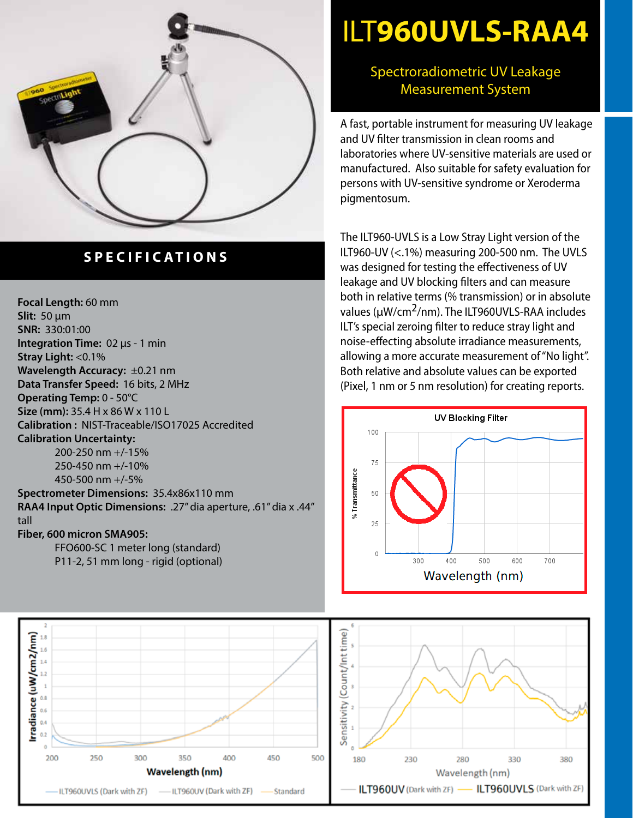

## **SPECIFICATIONS**

**Focal Length:** 60 mm **Slit:** 50 µm **SNR:** 330:01:00 **Integration Time:** 02 µs - 1 min **Stray Light:** <0.1% **Wavelength Accuracy:** ±0.21 nm **Data Transfer Speed:** 16 bits, 2 MHz **Operating Temp:** 0 - 50°C **Size (mm):** 35.4 H x 86 W x 110 L **Calibration :** NIST-Traceable/ISO17025 Accredited **Calibration Uncertainty:** 200-250 nm +/-15%

250-450 nm +/-10% 450-500 nm +/-5%

**Spectrometer Dimensions:** 35.4x86x110 mm **RAA4 Input Optic Dimensions:** .27" dia aperture, .61" dia x .44" tall

## **Fiber, 600 micron SMA905:**

FFO600-SC 1 meter long (standard) P11-2, 51 mm long - rigid (optional)

## ILT**960UVLS-RAA4**

## Spectroradiometric UV Leakage Measurement System

A fast, portable instrument for measuring UV leakage and UV filter transmission in clean rooms and laboratories where UV-sensitive materials are used or manufactured. Also suitable for safety evaluation for persons with UV-sensitive syndrome or Xeroderma pigmentosum.

The ILT960-UVLS is a Low Stray Light version of the ILT960-UV (<.1%) measuring 200-500 nm. The UVLS was designed for testing the effectiveness of UV leakage and UV blocking filters and can measure both in relative terms (% transmission) or in absolute values (µW/cm2/nm). The ILT960UVLS-RAA includes ILT's special zeroing filter to reduce stray light and noise-effecting absolute irradiance measurements, allowing a more accurate measurement of "No light". Both relative and absolute values can be exported (Pixel, 1 nm or 5 nm resolution) for creating reports.